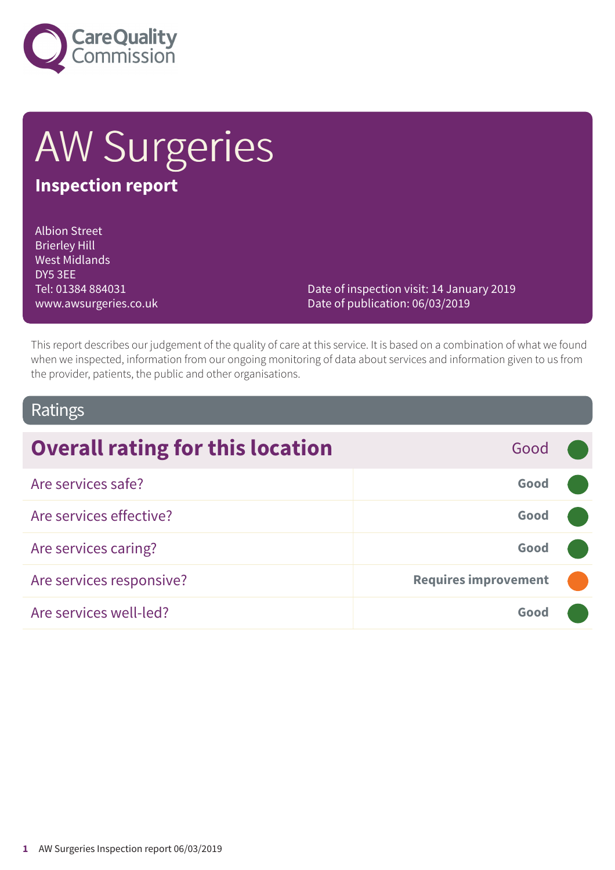

# AW Surgeries **Inspection report**

#### Albion Street Brierley Hill West Midlands DY5 3EE Tel: 01384 884031 www.awsurgeries.co.uk

Date of inspection visit: 14 January 2019 Date of publication: 06/03/2019

This report describes our judgement of the quality of care at this service. It is based on a combination of what we found when we inspected, information from our ongoing monitoring of data about services and information given to us from the provider, patients, the public and other organisations.

## Ratings

| <b>Overall rating for this location</b> | Good                        |  |
|-----------------------------------------|-----------------------------|--|
| Are services safe?                      | Good                        |  |
| Are services effective?                 | Good                        |  |
| Are services caring?                    | Good                        |  |
| Are services responsive?                | <b>Requires improvement</b> |  |
| Are services well-led?                  | Good                        |  |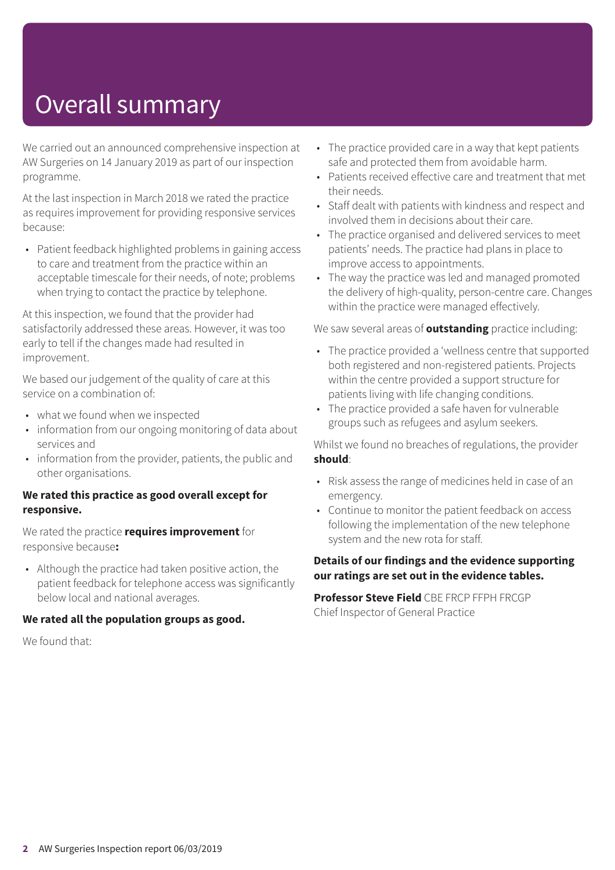## Overall summary

We carried out an announced comprehensive inspection at AW Surgeries on 14 January 2019 as part of our inspection programme.

At the last inspection in March 2018 we rated the practice as requires improvement for providing responsive services because:

• Patient feedback highlighted problems in gaining access to care and treatment from the practice within an acceptable timescale for their needs, of note; problems when trying to contact the practice by telephone.

At this inspection, we found that the provider had satisfactorily addressed these areas. However, it was too early to tell if the changes made had resulted in improvement.

We based our judgement of the quality of care at this service on a combination of:

- what we found when we inspected
- information from our ongoing monitoring of data about services and
- information from the provider, patients, the public and other organisations.

#### **We rated this practice as good overall except for responsive.**

We rated the practice **requires improvement** for responsive because**:**

• Although the practice had taken positive action, the patient feedback for telephone access was significantly below local and national averages.

#### **We rated all the population groups as good.**

We found that:

- The practice provided care in a way that kept patients safe and protected them from avoidable harm.
- Patients received effective care and treatment that met their needs.
- Staff dealt with patients with kindness and respect and involved them in decisions about their care.
- The practice organised and delivered services to meet patients' needs. The practice had plans in place to improve access to appointments.
- The way the practice was led and managed promoted the delivery of high-quality, person-centre care. Changes within the practice were managed effectively.

We saw several areas of **outstanding** practice including:

- The practice provided a 'wellness centre that supported both registered and non-registered patients. Projects within the centre provided a support structure for patients living with life changing conditions.
- The practice provided a safe haven for vulnerable groups such as refugees and asylum seekers.

Whilst we found no breaches of regulations, the provider **should**:

- Risk assess the range of medicines held in case of an emergency.
- Continue to monitor the patient feedback on access following the implementation of the new telephone system and the new rota for staff.

#### **Details of our findings and the evidence supporting our ratings are set out in the evidence tables.**

**Professor Steve Field** CBE FRCP FFPH FRCGP Chief Inspector of General Practice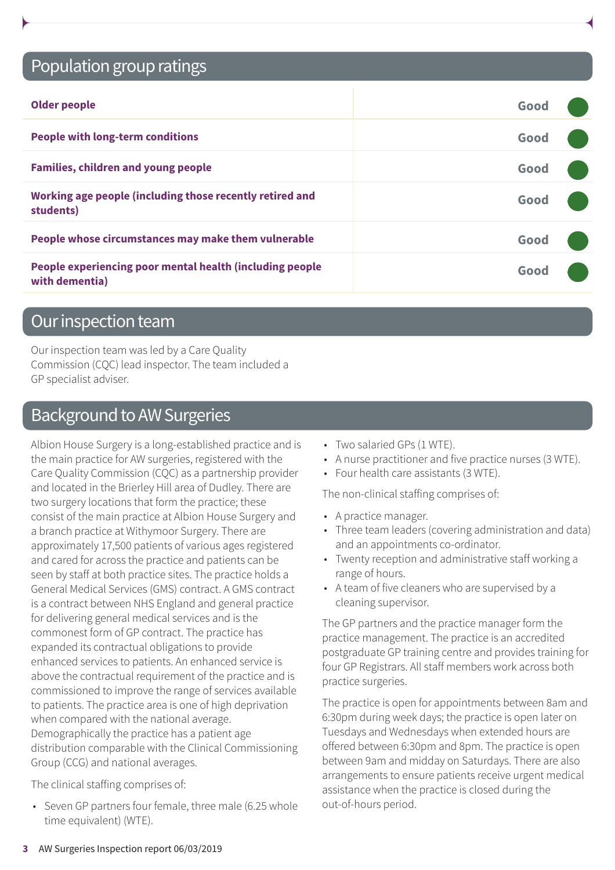## Population group ratings

| <b>Older people</b>                                                        | Good |  |
|----------------------------------------------------------------------------|------|--|
| <b>People with long-term conditions</b>                                    | Good |  |
| <b>Families, children and young people</b>                                 | Good |  |
| Working age people (including those recently retired and<br>students)      | Good |  |
| People whose circumstances may make them vulnerable                        | Good |  |
| People experiencing poor mental health (including people<br>with dementia) | Good |  |

## Our inspection team

Our inspection team was led by a Care Quality Commission (CQC) lead inspector. The team included a GP specialist adviser.

## Background to AW Surgeries

Albion House Surgery is a long-established practice and is the main practice for AW surgeries, registered with the Care Quality Commission (CQC) as a partnership provider and located in the Brierley Hill area of Dudley. There are two surgery locations that form the practice; these consist of the main practice at Albion House Surgery and a branch practice at Withymoor Surgery. There are approximately 17,500 patients of various ages registered and cared for across the practice and patients can be seen by staff at both practice sites. The practice holds a General Medical Services (GMS) contract. A GMS contract is a contract between NHS England and general practice for delivering general medical services and is the commonest form of GP contract. The practice has expanded its contractual obligations to provide enhanced services to patients. An enhanced service is above the contractual requirement of the practice and is commissioned to improve the range of services available to patients. The practice area is one of high deprivation when compared with the national average. Demographically the practice has a patient age distribution comparable with the Clinical Commissioning Group (CCG) and national averages.

The clinical staffing comprises of:

• Seven GP partners four female, three male (6.25 whole time equivalent) (WTE).

- Two salaried GPs (1 WTE).
- A nurse practitioner and five practice nurses (3 WTE).
- Four health care assistants (3 WTE).

The non-clinical staffing comprises of:

- A practice manager.
- Three team leaders (covering administration and data) and an appointments co-ordinator.
- Twenty reception and administrative staff working a range of hours.
- A team of five cleaners who are supervised by a cleaning supervisor.

The GP partners and the practice manager form the practice management. The practice is an accredited postgraduate GP training centre and provides training for four GP Registrars. All staff members work across both practice surgeries.

The practice is open for appointments between 8am and 6:30pm during week days; the practice is open later on Tuesdays and Wednesdays when extended hours are offered between 6:30pm and 8pm. The practice is open between 9am and midday on Saturdays. There are also arrangements to ensure patients receive urgent medical assistance when the practice is closed during the out-of-hours period.